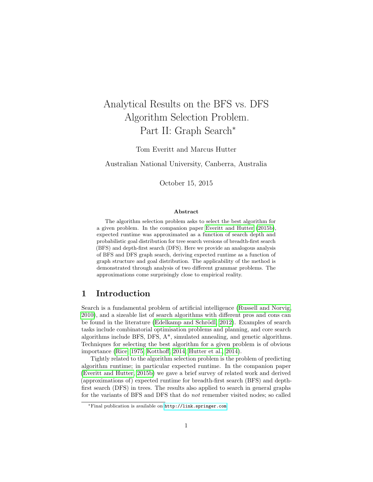# Analytical Results on the BFS vs. DFS Algorithm Selection Problem. Part II: Graph Search<sup>∗</sup>

Tom Everitt and Marcus Hutter

Australian National University, Canberra, Australia

October 15, 2015

#### Abstract

The algorithm selection problem asks to select the best algorithm for a given problem. In the companion paper [Everitt and Hutter](#page-12-0) [\(2015b\)](#page-12-0), expected runtime was approximated as a function of search depth and probabilistic goal distribution for tree search versions of breadth-first search (BFS) and depth-first search (DFS). Here we provide an analogous analysis of BFS and DFS graph search, deriving expected runtime as a function of graph structure and goal distribution. The applicability of the method is demonstrated through analysis of two different grammar problems. The approximations come surprisingly close to empirical reality.

# 1 Introduction

Search is a fundamental problem of artificial intelligence [\(Russell and Norvig,](#page-13-0) [2010\)](#page-13-0), and a sizeable list of search algorithms with different pros and cons can be found in the literature (Edelkamp and Schrödl, 2012). Examples of search tasks include combinatorial optimisation problems and planning, and core search algorithms include BFS, DFS, A\*, simulated annealing, and genetic algorithms. Techniques for selecting the best algorithm for a given problem is of obvious importance [\(Rice, 1975;](#page-13-1) [Kotthoff, 2014;](#page-12-2) [Hutter et al., 2014\)](#page-12-3).

Tightly related to the algorithm selection problem is the problem of predicting algorithm runtime; in particular expected runtime. In the companion paper [\(Everitt and Hutter, 2015b\)](#page-12-0) we gave a brief survey of related work and derived (approximations of) expected runtime for breadth-first search (BFS) and depthfirst search (DFS) in trees. The results also applied to search in general graphs for the variants of BFS and DFS that do not remember visited nodes; so called

<sup>∗</sup>Final publication is available on <http://link.springer.com>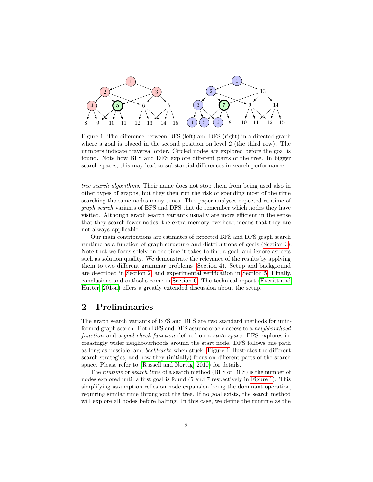<span id="page-1-1"></span>

Figure 1: The difference between BFS (left) and DFS (right) in a directed graph where a goal is placed in the second position on level 2 (the third row). The numbers indicate traversal order. Circled nodes are explored before the goal is found. Note how BFS and DFS explore different parts of the tree. In bigger search spaces, this may lead to substantial differences in search performance.

tree search algorithms. Their name does not stop them from being used also in other types of graphs, but they then run the risk of spending most of the time searching the same nodes many times. This paper analyses expected runtime of graph search variants of BFS and DFS that do remember which nodes they have visited. Although graph search variants usually are more efficient in the sense that they search fewer nodes, the extra memory overhead means that they are not always applicable.

Our main contributions are estimates of expected BFS and DFS graph search runtime as a function of graph structure and distributions of goals [\(Section 3\)](#page-2-0). Note that we focus solely on the time it takes to find a goal, and ignore aspects such as solution quality. We demonstrate the relevance of the results by applying them to two different grammar problems [\(Section 4\)](#page-5-0). Setup and background are described in [Section 2,](#page-1-0) and experimental verification in [Section 5.](#page-9-0) Finally, conclusions and outlooks come in [Section 6.](#page-10-0) The technical report [\(Everitt and](#page-12-4) [Hutter, 2015a\)](#page-12-4) offers a greatly extended discussion about the setup.

## <span id="page-1-0"></span>2 Preliminaries

The graph search variants of BFS and DFS are two standard methods for uninformed graph search. Both BFS and DFS assume oracle access to a neighbourhood function and a *goal check function* defined on a *state space*. BFS explores increasingly wider neighbourhoods around the start node. DFS follows one path as long as possible, and backtracks when stuck. [Figure 1](#page-1-1) illustrates the different search strategies, and how they (initially) focus on different parts of the search space. Please refer to [\(Russell and Norvig, 2010\)](#page-13-0) for details.

The runtime or search time of a search method (BFS or DFS) is the number of nodes explored until a first goal is found (5 and 7 respectively in [Figure 1\)](#page-1-1). This simplifying assumption relies on node expansion being the dominant operation, requiring similar time throughout the tree. If no goal exists, the search method will explore all nodes before halting. In this case, we define the runtime as the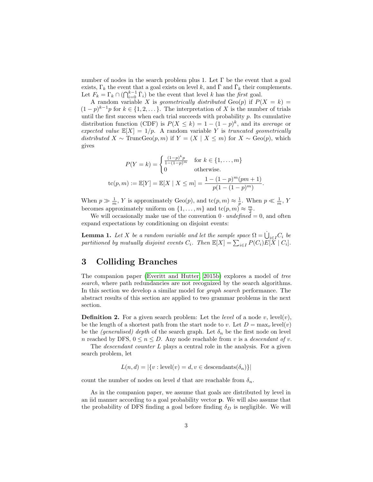number of nodes in the search problem plus 1. Let  $\Gamma$  be the event that a goal exists,  $\Gamma_k$  the event that a goal exists on level k, and  $\overline{\Gamma}$  and  $\overline{\Gamma}_k$  their complements. Let  $F_k = \Gamma_k \cap (\bigcap_{i=0}^{k-1} \bar{\Gamma}_i)$  be the event that level k has the first goal.

A random variable X is geometrically distributed  $Geo(p)$  if  $P(X = k)$  $(1-p)^{k-1}p$  for  $k \in \{1,2,\ldots\}$ . The interpretation of X is the number of trials until the first success when each trial succeeds with probability  $p$ . Its cumulative distribution function (CDF) is  $P(X \le k) = 1 - (1 - p)^k$ , and its *average* or expected value  $\mathbb{E}[X] = 1/p$ . A random variable Y is truncated geometrically distributed  $X \sim \text{TruncGeo}(p, m)$  if  $Y = (X | X \leq m)$  for  $X \sim \text{Geo}(p)$ , which gives

$$
P(Y = k) = \begin{cases} \frac{(1-p)^k p}{1 - (1-p)^m} & \text{for } k \in \{1, ..., m\} \\ 0 & \text{otherwise.} \end{cases}
$$
  
tc $(p, m) := \mathbb{E}[Y] = \mathbb{E}[X \mid X \le m] = \frac{1 - (1-p)^m(pm+1)}{p(1 - (1-p)^m)}.$ 

When  $p \gg \frac{1}{m}$ , Y is approximately Geo(p), and tc(p, m)  $\approx \frac{1}{p}$ . When  $p \ll \frac{1}{m}$ , Y becomes approximately uniform on  $\{1, \ldots, m\}$  and  $\text{tc}(p, m) \approx \frac{m}{2}$ .

We will occasionally make use of the convention  $0 \cdot \text{undefined} = 0$ , and often expand expectations by conditioning on disjoint events:

<span id="page-2-1"></span>**Lemma 1.** Let X be a random variable and let the sample space  $\Omega = \dot{\bigcup}_{i \in I} C_i$  be partitioned by mutually disjoint events  $C_i$ . Then  $\mathbb{E}[X] = \sum_{i \in I} P(C_i) \tilde{E[X]} C_i$ .

# <span id="page-2-0"></span>3 Colliding Branches

The companion paper [\(Everitt and Hutter, 2015b\)](#page-12-0) explores a model of tree search, where path redundancies are not recognized by the search algorithms. In this section we develop a similar model for graph search performance. The abstract results of this section are applied to two grammar problems in the next section.

**Definition 2.** For a given search problem: Let the *level* of a node  $v$ , level $(v)$ , be the length of a shortest path from the start node to v. Let  $D = \max_{v} |well(v)|$ be the *(generalised) depth* of the search graph. Let  $\delta_n$  be the first node on level n reached by DFS,  $0 \le n \le D$ . Any node reachable from v is a *descendant of v*.

The *descendant counter L* plays a central role in the analysis. For a given search problem, let

$$
L(n,d) = |\{v : level(v) = d, v \in descendants(\delta_n)\}|
$$

count the number of nodes on level d that are reachable from  $\delta_n$ .

As in the companion paper, we assume that goals are distributed by level in an iid manner according to a goal probability vector p. We will also assume that the probability of DFS finding a goal before finding  $\delta_D$  is negligible. We will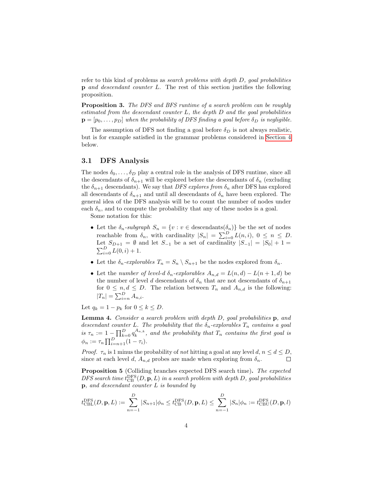refer to this kind of problems as search problems with depth  $D$ , goal probabilities p and descendant counter L. The rest of this section justifies the following proposition.

Proposition 3. The DFS and BFS runtime of a search problem can be roughly estimated from the descendant counter  $L$ , the depth  $D$  and the goal probabilities  $\mathbf{p} = [p_0, \ldots, p_D]$  when the probability of DFS finding a goal before  $\delta_D$  is negligible.

The assumption of DFS not finding a goal before  $\delta_D$  is not always realistic, but is for example satisfied in the grammar problems considered in [Section 4](#page-5-0) below.

#### <span id="page-3-2"></span>3.1 DFS Analysis

The nodes  $\delta_0, \ldots, \delta_D$  play a central role in the analysis of DFS runtime, since all the descendants of  $\delta_{n+1}$  will be explored before the descendants of  $\delta_n$  (excluding the  $\delta_{n+1}$  descendants). We say that DFS explores from  $\delta_n$  after DFS has explored all descendants of  $\delta_{n+1}$  and until all descendants of  $\delta_n$  have been explored. The general idea of the DFS analysis will be to count the number of nodes under each  $\delta_n$ , and to compute the probability that any of these nodes is a goal.

Some notation for this:

- Let the  $\delta_n$ -subgraph  $S_n = \{v : v \in$  descendants $(\delta_n)\}$  be the set of nodes reachable from  $\delta_n$ , with cardinality  $|S_n| = \sum_{i=0}^{D} L(n, i)$ ,  $0 \le n \le D$ . Let  $S_{D+1} = \emptyset$  and let  $S_{-1}$  be a set of cardinality  $|S_{-1}| = |S_0| + 1 =$  $\sum_{i=0}^{D} L(0, i) + 1.$
- Let the  $\delta_n$ -explorables  $T_n = S_n \setminus S_{n+1}$  be the nodes explored from  $\delta_n$ .
- Let the number of level-d  $\delta_n$ -explorables  $A_{n,d} = L(n,d) L(n+1,d)$  be the number of level d descendants of  $\delta_n$  that are not descendants of  $\delta_{n+1}$ for  $0 \leq n, d \leq D$ . The relation between  $T_n$  and  $A_{n,d}$  is the following:  $|T_n| = \sum_{i=n}^{D} A_{n,i}.$

Let  $q_k = 1 - p_k$  for  $0 \leq k \leq D$ .

<span id="page-3-0"></span>Lemma 4. Consider a search problem with depth D, goal probabilities p, and descendant counter L. The probability that the  $\delta_n$ -explorables  $T_n$  contains a goal is  $\tau_n := 1 - \prod_{k=0}^D q_k^{A_{n,k}}$  $\mathbb{R}^{A_{n,k}}$ , and the probability that  $T_n$  contains the first goal is  $\phi_n := \tau_n \prod_{i=n+1}^D (1 - \tau_i).$ 

Proof.  $\tau_n$  is 1 minus the probability of not hitting a goal at any level d,  $n \leq d \leq D$ , since at each level d,  $A_{n,d}$  probes are made when exploring from  $\delta_n$ .  $\Box$ 

<span id="page-3-1"></span>Proposition 5 (Colliding branches expected DFS search time). The expected DFS search time  $t_{\text{CB}}^{\text{DFS}}(D, \mathbf{p}, L)$  in a search problem with depth D, goal probabilities p, and descendant counter L is bounded by

$$
t_{\text{CBL}}^{\text{DFS}}(D, \mathbf{p}, L) := \sum_{n=-1}^{D} |S_{n+1}| \phi_n \le t_{\text{CB}}^{\text{DFS}}(D, \mathbf{p}, L) \le \sum_{n=-1}^{D} |S_n| \phi_n := t_{\text{CBU}}^{\text{DFS}}(D, \mathbf{p}, l)
$$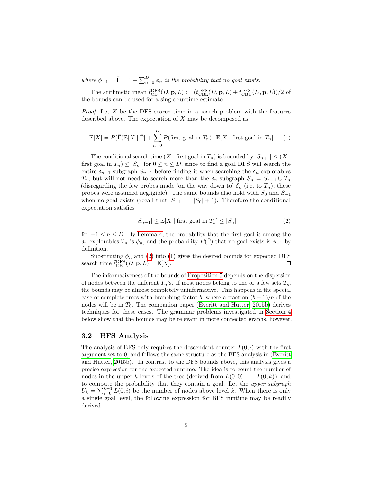where  $\phi_{-1} = \bar{\Gamma} = 1 - \sum_{n=0}^{D} \phi_n$  is the probability that no goal exists.

The arithmetic mean  $\tilde{t}_{\text{CB}}^{\text{DFS}}(D, \mathbf{p}, L) := (t_{\text{CBL}}^{\text{DFS}}(D, \mathbf{p}, L) + t_{\text{CBU}}^{\text{DFS}}(D, \mathbf{p}, L))/2$  of the bounds can be used for a single runtime estimate.

*Proof.* Let  $X$  be the DFS search time in a search problem with the features described above. The expectation of  $X$  may be decomposed as

<span id="page-4-1"></span>
$$
\mathbb{E}[X] = P(\bar{\Gamma})\mathbb{E}[X | \bar{\Gamma}] + \sum_{n=0}^{D} P(\text{first goal in } T_n) \cdot \mathbb{E}[X | \text{first goal in } T_n]. \tag{1}
$$

The conditional search time  $(X | \text{first goal in } T_n)$  is bounded by  $|S_{n+1}| \leq (X |$ first goal in  $T_n) \leq |S_n|$  for  $0 \leq n \leq D$ , since to find a goal DFS will search the entire  $\delta_{n+1}$ -subgraph  $S_{n+1}$  before finding it when searching the  $\delta_n$ -explorables  $T_n$ , but will not need to search more than the  $\delta_n$ -subgraph  $S_n = S_{n+1} \cup T_n$ (disregarding the few probes made 'on the way down to'  $\delta_n$  (i.e. to  $T_n$ ); these probes were assumed negligible). The same bounds also hold with  $S_0$  and  $S_{-1}$ when no goal exists (recall that  $|S_{-1}| := |S_0| + 1$ ). Therefore the conditional expectation satisfies

<span id="page-4-0"></span>
$$
|S_{n+1}| \le \mathbb{E}[X \mid \text{first goal in } T_n] \le |S_n| \tag{2}
$$

for  $-1 \le n \le D$ . By [Lemma 4,](#page-3-0) the probability that the first goal is among the  $\delta_n$ -explorables  $T_n$  is  $\phi_n$ , and the probability  $P(\Gamma)$  that no goal exists is  $\phi_{-1}$  by definition.

Substituting  $\phi_n$  and [\(2\)](#page-4-0) into [\(1\)](#page-4-1) gives the desired bounds for expected DFS search time  $\tilde{t}_{\text{CB}}^{\text{DFS}}(D, \mathbf{p}, L) = \mathbb{E}[X].$  $\Box$ 

The informativeness of the bounds of [Proposition 5](#page-3-1) depends on the dispersion of nodes between the different  $T_n$ 's. If most nodes belong to one or a few sets  $T_n$ , the bounds may be almost completely uninformative. This happens in the special case of complete trees with branching factor b, where a fraction  $(b-1)/b$  of the nodes will be in  $T_0$ . The companion paper [\(Everitt and Hutter, 2015b\)](#page-12-0) derives techniques for these cases. The grammar problems investigated in [Section 4](#page-5-0) below show that the bounds may be relevant in more connected graphs, however.

#### 3.2 BFS Analysis

The analysis of BFS only requires the descendant counter  $L(0, \cdot)$  with the first argument set to 0, and follows the same structure as the BFS analysis in [\(Everitt](#page-12-0) [and Hutter, 2015b\)](#page-12-0). In contrast to the DFS bounds above, this analysis gives a precise expression for the expected runtime. The idea is to count the number of nodes in the upper k levels of the tree (derived from  $L(0,0), \ldots, L(0,k)$ ), and to compute the probability that they contain a goal. Let the upper subgraph  $U_k = \sum_{i=0}^{k-1} L(0, i)$  be the number of nodes above level k. When there is only a single goal level, the following expression for BFS runtime may be readily derived.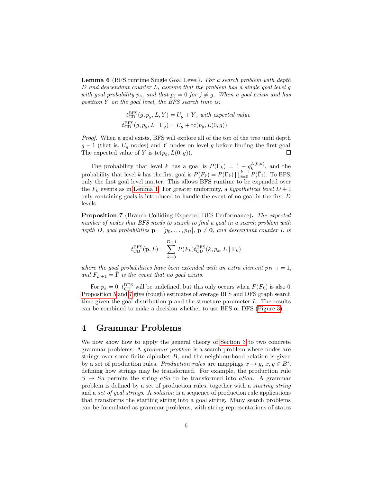Lemma 6 (BFS runtime Single Goal Level). For a search problem with depth D and descendant counter L, assume that the problem has a single goal level g with goal probability  $p_g$ , and that  $p_j = 0$  for  $j \neq g$ . When a goal exists and has position Y on the goal level, the BFS search time is:

$$
t_{\text{CB}}^{\text{BFS}}(g, p_g, L, Y) = U_g + Y
$$
, with expected value  

$$
t_{\text{CB}}^{\text{BFS}}(g, p_g, L | \Gamma_g) = U_g + \text{tc}(p_g, L(0, g))
$$

Proof. When a goal exists, BFS will explore all of the top of the tree until depth  $g-1$  (that is,  $U_g$  nodes) and Y nodes on level g before finding the first goal. The expected value of Y is  $tc(p_g, L(0, g))$ .  $\Box$ 

The probability that level k has a goal is  $P(\Gamma_k) = 1 - q_k^{L(0,k)}$  $k^{L(0,\kappa)}$ , and the probability that level k has the first goal is  $P(F_k) = P(\Gamma_k) \prod_{i=0}^{k-1} P(\bar{\Gamma}_i)$ . To BFS, only the first goal level matter. This allows BFS runtime to be expanded over the  $F_k$  events as in [Lemma 1.](#page-2-1) For greater uniformity, a hypothetical level  $D+1$ only containing goals is introduced to handle the event of no goal in the first D levels.

<span id="page-5-1"></span>Proposition 7 (Branch Colliding Expected BFS Performance). The expected number of nodes that BFS needs to search to find a goal in a search problem with depth D, goal probabilities  $\mathbf{p} = [p_0, \ldots, p_D]$ ,  $\mathbf{p} \neq \mathbf{0}$ , and descendant counter L is

$$
t_{\text{CB}}^{\text{BFS}}(\mathbf{p},L)=\sum_{k=0}^{D+1}P(F_k)t_{\text{CB}}^{\text{BFS}}(k,p_k,L\mid\Gamma_k)
$$

where the goal probabilities have been extended with an extra element  $p_{D+1} = 1$ , and  $F_{D+1} = \overline{\Gamma}$  is the event that no goal exists.

For  $p_k = 0$ ,  $t_{\text{CB}}^{\text{BFS}}$  will be undefined, but this only occurs when  $P(F_k)$  is also 0. [Proposition 5](#page-3-1) and [7](#page-5-1) give (rough) estimates of average BFS and DFS graph search time given the goal distribution  $\bf{p}$  and the structure parameter  $L$ . The results can be combined to make a decision whether to use BFS or DFS [\(Figure 3\)](#page-7-0).

## <span id="page-5-0"></span>4 Grammar Problems

We now show how to apply the general theory of [Section 3](#page-2-0) to two concrete grammar problems. A grammar problem is a search problem where nodes are strings over some finite alphabet  $B$ , and the neighbourhood relation is given by a set of production rules. Production rules are mappings  $x \to y$ ,  $x, y \in B^*$ , defining how strings may be transformed. For example, the production rule  $S \rightarrow Sa$  permits the string aSa to be transformed into aSaa. A grammar problem is defined by a set of production rules, together with a starting string and a set of goal strings. A solution is a sequence of production rule applications that transforms the starting string into a goal string. Many search problems can be formulated as grammar problems, with string representations of states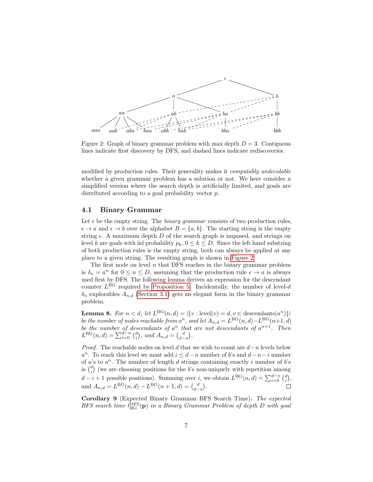<span id="page-6-0"></span>

Figure 2: Graph of binary grammar problem with max depth  $D = 3$ . Contiguous lines indicate first discovery by DFS, and dashed lines indicate rediscoveries.

modified by production rules. Their generality makes it computably undecidable whether a given grammar problem has a solution or not. We here consider a simplified version where the search depth is artificially limited, and goals are distributed according to a goal probability vector p.

#### <span id="page-6-3"></span>4.1 Binary Grammar

Let  $\epsilon$  be the empty string. The *binary grammar* consists of two production rules,  $\epsilon \to a$  and  $\epsilon \to b$  over the alphabet  $B = \{a, b\}$ . The starting string is the empty string  $\epsilon$ . A maximum depth D of the search graph is imposed, and strings on level k are goals with iid probability  $p_k$ ,  $0 \le k \le D$ . Since the left hand substring of both production rules is the empty string, both can always be applied at any place to a given string. The resulting graph is shown in [Figure 2.](#page-6-0)

The first node on level  $n$  that DFS reaches in the binary grammar problem is  $\delta_n = a^n$  for  $0 \leq n \leq D$ , assuming that the production rule  $\epsilon \to a$  is always used first by DFS. The following lemma derives an expression for the descendant counter  $L<sup>BG</sup>$  required by [Proposition 5.](#page-3-1) Incidentally, the number of level-d  $\delta_n$  explorables  $A_{n,d}$  [\(Section 3.1\)](#page-3-2) gets an elegant form in the binary grammar problem.

<span id="page-6-2"></span>**Lemma 8.** For  $n < d$ , let  $L^{BG}(n, d) = |\{v : \text{level}(v) = d, v \in \text{descendants}(a^n)\}|$ be the number of nodes reachable from  $a^n$ , and let  $A_{n,d} = L^{BG}(n,d) - L^{BG}(n+1,d)$ be the number of descendants of  $a^n$  that are not descendants of  $a^{n+1}$ . Then  $L^{\text{BG}}(n, d) = \sum_{i=0}^{d-n} {d \choose i}$ , and  $A_{n,d} = {d \choose d-n}$ .

*Proof.* The reachable nodes on level d that we wish to count are  $d-n$  levels below  $a<sup>n</sup>$ . To reach this level we must add  $i \leq d-n$  number of b's and  $d-n-i$  number of  $a$ 's to  $a^n$ . The number of length d strings containing exactly i number of b's is  $\binom{d}{i}$  (we are choosing positions for the b's non-uniquely with repetition among i  $d-i+1$  possible positions). Summing over *i*, we obtain  $L^{BG}(n, d) = \sum_{i=0}^{d-n} {d \choose i}$ , and  $A_{n,d} = L^{BG}(n,d) - L^{BG}(n+1,d) = {d \choose d-n}.$ 

<span id="page-6-1"></span>Corollary 9 (Expected Binary Grammar BFS Search Time). The expected  $BFS$  search time  $\tilde{t}_{BG}^{\text{DFS}}(\textbf{p})$  in a Binary Grammar Problem of depth D with goal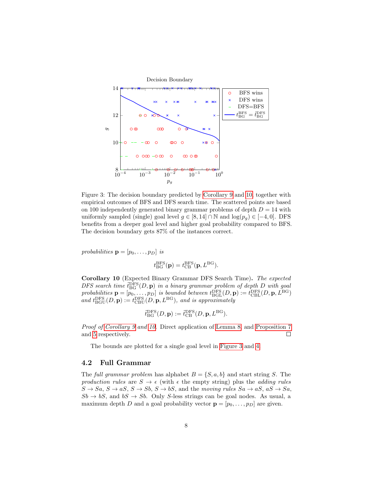<span id="page-7-0"></span>

Figure 3: The decision boundary predicted by [Corollary 9](#page-6-1) and [10,](#page-7-1) together with empirical outcomes of BFS and DFS search time. The scattered points are based on 100 independently generated binary grammar problems of depth  $D = 14$  with uniformly sampled (single) goal level  $g \in [8, 14] \cap \mathbb{N}$  and  $\log(p_a) \in [-4, 0]$ . DFS benefits from a deeper goal level and higher goal probability compared to BFS. The decision boundary gets 87% of the instances correct.

probabilities  $\mathbf{p} = [p_0, \ldots, p_D]$  is

 $t_{\text{BG}}^{\text{BFS}}(\mathbf{p}) = t_{\text{CB}}^{\text{BFS}}(\mathbf{p}, L^{\text{BG}}).$ 

<span id="page-7-1"></span>Corollary 10 (Expected Binary Grammar DFS Search Time). The expected  $DFS$  search time  $\tilde{t}_{\rm BG}^{\rm DFS}(D, \bf{p})$  in a binary grammar problem of depth D with goal probabilities  $\mathbf{p} = [p_0, \ldots, p_D]$  is bounded between  $t_{\text{BGL}}^{\text{DFS}}(D, \mathbf{p}) := t_{\text{CBL}}^{\text{DFS}}(D, \mathbf{p}, L^{\text{BG}})$ and  $t_{\text{BGU}}^{\text{DFS}}(D, \mathbf{p}) := t_{\text{CBU}}^{\text{DFS}}(D, \mathbf{p}, L^{\text{BG}})$ , and is approximately

$$
\tilde{t}_{\text{BG}}^{\text{DFS}}(D, \mathbf{p}) := \tilde{t}_{\text{CB}}^{\text{DFS}}(D, \mathbf{p}, L^{\text{BG}}).
$$

Proof of [Corollary 9](#page-6-1) and [10.](#page-7-1) Direct application of [Lemma 8,](#page-6-2) and [Proposition 7](#page-5-1) and [5](#page-3-1) respectively.  $\Box$ 

The bounds are plotted for a single goal level in [Figure 3](#page-7-0) and [4.](#page-8-0)

#### 4.2 Full Grammar

The full grammar problem has alphabet  $B = \{S, a, b\}$  and start string S. The production rules are  $S \to \epsilon$  (with  $\epsilon$  the empty string) plus the adding rules  $S \to Sa, S \to aS, S \to Sb, S \to bS,$  and the moving rules  $Sa \to aS, aS \to Sa,$  $Sb \rightarrow bS$ , and  $bS \rightarrow Sb$ . Only S-less strings can be goal nodes. As usual, a maximum depth D and a goal probability vector  $\mathbf{p} = [p_0, \dots, p_D]$  are given.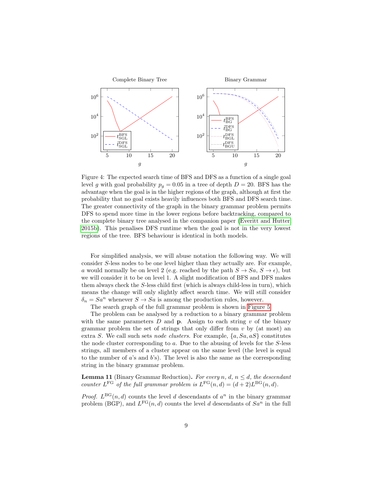<span id="page-8-0"></span>

Figure 4: The expected search time of BFS and DFS as a function of a single goal level g with goal probability  $p<sub>g</sub> = 0.05$  in a tree of depth  $D = 20$ . BFS has the advantage when the goal is in the higher regions of the graph, although at first the probability that no goal exists heavily influences both BFS and DFS search time. The greater connectivity of the graph in the binary grammar problem permits DFS to spend more time in the lower regions before backtracking, compared to the complete binary tree analysed in the companion paper [\(Everitt and Hutter,](#page-12-0) [2015b\)](#page-12-0). This penalises DFS runtime when the goal is not in the very lowest regions of the tree. BFS behaviour is identical in both models.

For simplified analysis, we will abuse notation the following way. We will consider S-less nodes to be one level higher than they actually are. For example, a would normally be on level 2 (e.g. reached by the path  $S \to Sa, S \to \epsilon$ ), but we will consider it to be on level 1. A slight modification of BFS and DFS makes them always check the S-less child first (which is always child-less in turn), which means the change will only slightly affect search time. We will still consider  $\delta_n = Sa^n$  whenever  $S \to Sa$  is among the production rules, however.

The search graph of the full grammar problem is shown in [Figure 5.](#page-9-1)

The problem can be analysed by a reduction to a binary grammar problem with the same parameters  $D$  and  $p$ . Assign to each string  $v$  of the binary grammar problem the set of strings that only differ from  $v$  by (at most) an extra S. We call such sets node clusters. For example,  $\{a, Sa, aS\}$  constitutes the node cluster corresponding to a. Due to the abusing of levels for the S-less strings, all members of a cluster appear on the same level (the level is equal to the number of  $a$ 's and  $b$ 's). The level is also the same as the corresponding string in the binary grammar problem.

<span id="page-8-1"></span>**Lemma 11** (Binary Grammar Reduction). For every n, d,  $n \leq d$ , the descendant counter  $L^{FG}$  of the full grammar problem is  $L^{FG}(n,d) = (d+2)L^{BG}(n,d)$ .

*Proof.*  $L^{BG}(n, d)$  counts the level d descendants of  $a^n$  in the binary grammar problem (BGP), and  $L^{FG}(n, d)$  counts the level d descendants of  $Sa^n$  in the full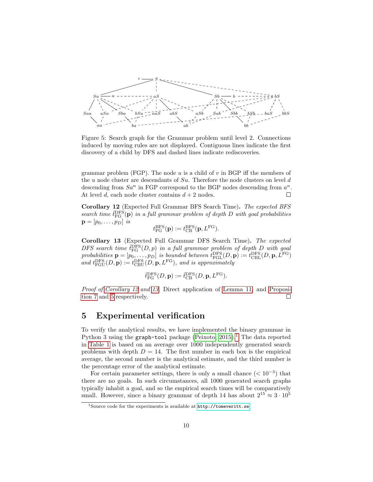<span id="page-9-1"></span>

Figure 5: Search graph for the Grammar problem until level 2. Connections induced by moving rules are not displayed. Contiguous lines indicate the first discovery of a child by DFS and dashed lines indicate rediscoveries.

grammar problem (FGP). The node  $u$  is a child of  $v$  in BGP iff the members of the  $u$  node cluster are descendants of  $Su$ . Therefore the node clusters on level  $d$ descending from  $Sa^n$  in FGP correspond to the BGP nodes descending from  $a^n$ . At level d, each node cluster contains  $d + 2$  nodes.  $\Box$ 

<span id="page-9-2"></span>Corollary 12 (Expected Full Grammar BFS Search Time). The expected BFS search time  $\hat{t}_{\text{FG}}^{\text{DFS}}(\textbf{p})$  in a full grammar problem of depth D with goal probabilities  $\mathbf{p} = [p_0, \ldots, p_D]$  is

$$
t_{\text{FG}}^{\text{BFS}}(\mathbf{p}) := t_{\text{CB}}^{\text{BFS}}(\mathbf{p}, L^{\text{FG}}).
$$

<span id="page-9-3"></span>Corollary 13 (Expected Full Grammar DFS Search Time). The expected DFS search time  $\tilde{t}_{FG}^{DFS}(D, p)$  in a full grammar problem of depth D with goal probabilities  $\mathbf{p} = [p_0, \ldots, p_D]$  is bounded between  $t_{\text{FGL}}^{\text{DFS}}(D, \mathbf{p}) := t_{\text{CEL}}^{\text{DFS}}(D, \mathbf{p}, L^{\text{FG}})$ and  $t_{\text{FGU}}^{\text{DFS}}(D, \mathbf{p}) := t_{\text{CBU}}^{\text{DFS}}(D, \mathbf{p}, L^{\text{FG}})$ , and is approximately

$$
\tilde{t}_{\text{FG}}^{\text{DFS}}(D, \mathbf{p}) := \tilde{t}_{\text{CB}}^{\text{DFS}}(D, \mathbf{p}, L^{\text{FG}}).
$$

Proof of [Corollary 12](#page-9-2) and [13.](#page-9-3) Direct application of [Lemma 11,](#page-8-1) and [Proposi](#page-5-1)[tion 7](#page-5-1) and [5](#page-3-1) respectively.  $\Box$ 

## <span id="page-9-0"></span>5 Experimental verification

To verify the analytical results, we have implemented the binary grammar in Python 3 using the graph-tool package (Peixoto,  $2015$  $2015$  $2015$ ).<sup>1</sup> The data reported in [Table 1](#page-11-0) is based on an average over 1000 independently generated search problems with depth  $D = 14$ . The first number in each box is the empirical average, the second number is the analytical estimate, and the third number is the percentage error of the analytical estimate.

For certain parameter settings, there is only a small chance  $(< 10^{-3}$ ) that there are no goals. In such circumstances, all 1000 generated search graphs typically inhabit a goal, and so the empirical search times will be comparatively small. However, since a binary grammar of depth 14 has about  $2^{15} \approx 3 \cdot 10^{5}$ 

<span id="page-9-4"></span><sup>1</sup>Source code for the experiments is available at <http://tomeveritt.se>.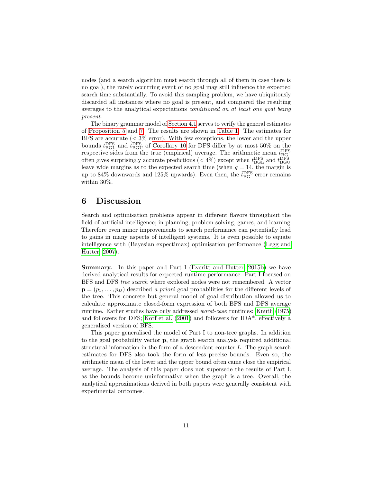nodes (and a search algorithm must search through all of them in case there is no goal), the rarely occurring event of no goal may still influence the expected search time substantially. To avoid this sampling problem, we have ubiquitously discarded all instances where no goal is present, and compared the resulting averages to the analytical expectations conditioned on at least one goal being present.

The binary grammar model of [Section 4.1](#page-6-3) serves to verify the general estimates of [Proposition 5](#page-3-1) and [7.](#page-5-1) The results are shown in [Table 1.](#page-11-0) The estimates for BFS are accurate  $\approx 3\%$  error). With few exceptions, the lower and the upper bounds  $t_{\text{BGL}}^{\text{DFS}}$  and  $t_{\text{BGU}}^{\text{DFS}}$  of [Corollary 10](#page-7-1) for DFS differ by at most 50% on the respective sides from the true (empirical) average. The arithmetic mean  $\tilde{t}_{\text{BGL}}^{\text{DFS}}$  often gives surprisingly accurate predictions ( $<$  4%) except when  $t_{\text{BGL}}^{\text{DFS}}$  and  $t_{\text{BGU}}^{\text{DFS}}$ leave wide margins as to the expected search time (when  $g = 14$ , the margin is up to 84% downwards and 125% upwards). Even then, the  $\tilde{t}_{\rm BG}^{\rm DFS}$  error remains within 30%.

### <span id="page-10-0"></span>6 Discussion

Search and optimisation problems appear in different flavors throughout the field of artificial intelligence; in planning, problem solving, games, and learning. Therefore even minor improvements to search performance can potentially lead to gains in many aspects of intelligent systems. It is even possible to equate intelligence with (Bayesian expectimax) optimisation performance [\(Legg and](#page-13-3) [Hutter, 2007\)](#page-13-3).

Summary. In this paper and Part I [\(Everitt and Hutter, 2015b\)](#page-12-0) we have derived analytical results for expected runtime performance. Part I focused on BFS and DFS tree search where explored nodes were not remembered. A vector  $\mathbf{p} = (p_1, \ldots, p_D)$  described a priori goal probabilities for the different levels of the tree. This concrete but general model of goal distribution allowed us to calculate approximate closed-form expression of both BFS and DFS average runtime. Earlier studies have only addressed worst-case runtimes: [Knuth \(1975\)](#page-12-5) and followers for DFS; [Korf et al. \(2001\)](#page-12-6) and followers for IDA\*, effectively a generalised version of BFS.

This paper generalised the model of Part I to non-tree graphs. In addition to the goal probability vector p, the graph search analysis required additional structural information in the form of a descendant counter L. The graph search estimates for DFS also took the form of less precise bounds. Even so, the arithmetic mean of the lower and the upper bound often came close the empirical average. The analysis of this paper does not supersede the results of Part I, as the bounds become uninformative when the graph is a tree. Overall, the analytical approximations derived in both papers were generally consistent with experimental outcomes.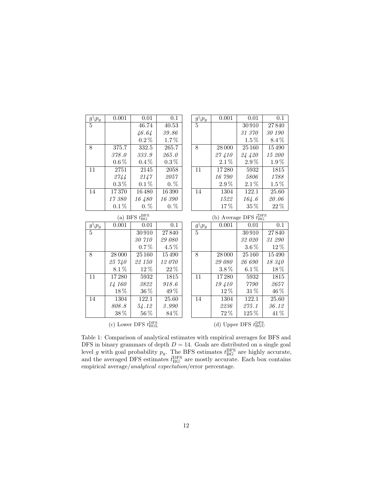<span id="page-11-0"></span>

| $\setminus p_g$<br>$\overline{g}$    | 0.001     | 0.01      | 0.1       | $g\backslash p_g$                             | 0.001     | 0.01      | 0.1      |
|--------------------------------------|-----------|-----------|-----------|-----------------------------------------------|-----------|-----------|----------|
| 5                                    |           | 46.74     | 40.53     | $\overline{5}$                                |           | 30910     | 27840    |
|                                      |           | 46.64     | 39.86     |                                               |           | 31 370    | 30 190   |
|                                      |           | $0.2\,\%$ | 1.7%      |                                               |           | $1.5\%$   | 8.4%     |
| 8                                    | 375.7     | 332.5     | 265.7     | $\overline{8}$                                | 28 000    | 25 160    | 15490    |
|                                      | 378.0     | 333.9     | 265.0     |                                               | 27410     | 24 420    | 15 200   |
|                                      | $0.6\,\%$ | $0.4\%$   | $0.3\,\%$ |                                               | $2.1\%$   | 2.9%      | $1.9\%$  |
| $\overline{11}$                      | 2751      | 2145      | 2058      | $\overline{11}$                               | 17280     | $5932\,$  | 1815     |
|                                      | 2744      | 2147      | 2057      |                                               | 16 790    | 5806      | 1788     |
|                                      | $0.3\,\%$ | $0.1\,\%$ | $0. \%$   |                                               | $2.9\,\%$ | $2.1\%$   | $1.5\%$  |
| 14                                   | 17370     | 16480     | 16390     | $\overline{14}$                               | 1304      | 122.1     | 25.60    |
|                                      | 17380     | 16 480    | 16 390    |                                               | 1522      | 164.6     | 20.06    |
|                                      | $0.1\,\%$ | $0. \%$   | $0. \%$   |                                               | 17%       | 35 %      | $22\,\%$ |
| (a) BFS $t_{\text{BG}}^{\text{BFS}}$ |           |           |           | (b) Average DFS $\tilde{t}_{BG}^{\text{DFS}}$ |           |           |          |
| $g\backslash p_g$                    | 0.001     | 0.01      | 0.1       | $g\backslash p_g$                             | 0.001     | 0.01      | 0.1      |
| 5                                    |           | 30910     | 27840     | 5                                             |           | 30910     | 27840    |
|                                      |           | 30 710    | 29 080    |                                               |           | 32 020    | 31 290   |
|                                      |           |           |           |                                               |           |           |          |
|                                      |           | $0.7\,\%$ | $4.5\%$   |                                               |           | $3.6\,\%$ | 12%      |
| 8                                    | 28 000    | 25 160    | 15 490    | 8                                             | 28 000    | 25 160    | 15490    |
|                                      | 25 740    | 22 150    | 12070     |                                               | 29 080    | 26 690    | 18340    |
|                                      | 8.1%      | 12%       | $22\,\%$  |                                               | 3.8%      | $6.1\,\%$ | 18%      |
| 11                                   | 17280     | 5932      | 1815      | $\overline{11}$                               | 17280     | 5932      | 1815     |
|                                      | 14 160    | 3822      | 918.6     |                                               | 19 410    | 7790      | 2657     |
|                                      | $18\,\%$  | $36\,\%$  | 49%       |                                               | 12%       | $31\,\%$  | 46 %     |
| 14                                   | 1304      | 122.1     | 25.60     | $\overline{14}$                               | 1304      | 122.1     | 25.60    |
|                                      | 808.8     | 54.12     | 3.990     |                                               | 2236      | 275.1     | 36.12    |
|                                      | $38\,\%$  | $56\,\%$  | 84%       |                                               | $72\%$    | 125 %     | 41%      |

Table 1: Comparison of analytical estimates with empirical averages for BFS and DFS in binary grammars of depth  $D = 14$ . Goals are distributed on a single goal level g with goal probability  $p_g$ . The BFS estimates  $t_{BG}^{\text{BFS}}$  are highly accurate, and the averaged DFS estimates  $\tilde{t}_{\mathrm{BG}}^{\mathrm{DFS}}$  are mostly accurate. Each box contains empirical average/analytical expectation/error percentage.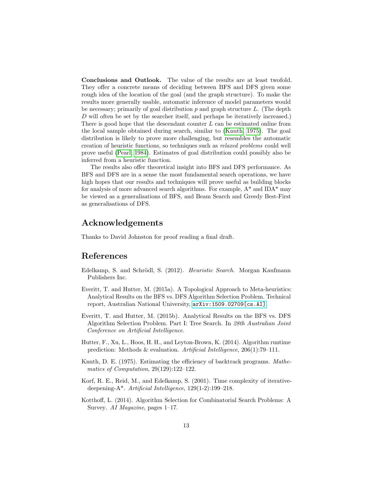Conclusions and Outlook. The value of the results are at least twofold. They offer a concrete means of deciding between BFS and DFS given some rough idea of the location of the goal (and the graph structure). To make the results more generally usable, automatic inference of model parameters would be necessary; primarily of goal distribution  $p$  and graph structure  $L$ . (The depth D will often be set by the searcher itself, and perhaps be iteratively increased.) There is good hope that the descendant counter  $L$  can be estimated online from the local sample obtained during search, similar to [\(Knuth, 1975\)](#page-12-5). The goal distribution is likely to prove more challenging, but resembles the automatic creation of heuristic functions, so techniques such as relaxed problems could well prove useful [\(Pearl, 1984\)](#page-13-4). Estimates of goal distribution could possibly also be inferred from a heuristic function.

The results also offer theoretical insight into BFS and DFS performance. As BFS and DFS are in a sense the most fundamental search operations, we have high hopes that our results and techniques will prove useful as building blocks for analysis of more advanced search algorithms. For example,  $A^*$  and IDA\* may be viewed as a generalisations of BFS, and Beam Search and Greedy Best-First as generalisations of DFS.

## Acknowledgements

Thanks to David Johnston for proof reading a final draft.

## References

- <span id="page-12-1"></span>Edelkamp, S. and Schrödl, S. (2012). Heuristic Search. Morgan Kaufmann Publishers Inc.
- <span id="page-12-4"></span>Everitt, T. and Hutter, M. (2015a). A Topological Approach to Meta-heuristics: Analytical Results on the BFS vs. DFS Algorithm Selection Problem. Technical report, Australian National University, [arXiv:1509.02709\[cs.AI\]](http://arxiv.org/abs/1509.02709).
- <span id="page-12-0"></span>Everitt, T. and Hutter, M. (2015b). Analytical Results on the BFS vs. DFS Algorithm Selection Problem. Part I: Tree Search. In 28th Australian Joint Conference on Artificial Intelligence.
- <span id="page-12-3"></span>Hutter, F., Xu, L., Hoos, H. H., and Leyton-Brown, K. (2014). Algorithm runtime prediction: Methods & evaluation. Artificial Intelligence, 206(1):79–111.
- <span id="page-12-5"></span>Knuth, D. E. (1975). Estimating the efficiency of backtrack programs. Mathematics of Computation, 29(129):122–122.
- <span id="page-12-6"></span>Korf, R. E., Reid, M., and Edelkamp, S. (2001). Time complexity of iterativedeepening-A\*. Artificial Intelligence, 129(1-2):199–218.
- <span id="page-12-2"></span>Kotthoff, L. (2014). Algorithm Selection for Combinatorial Search Problems: A Survey. AI Magazine, pages 1–17.